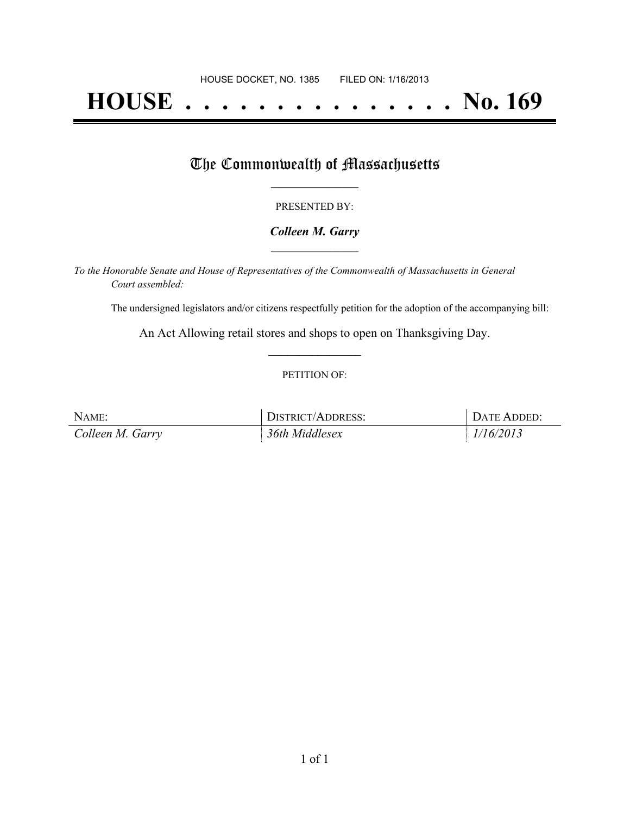# **HOUSE . . . . . . . . . . . . . . . No. 169**

## The Commonwealth of Massachusetts

#### PRESENTED BY:

#### *Colleen M. Garry* **\_\_\_\_\_\_\_\_\_\_\_\_\_\_\_\_\_**

*To the Honorable Senate and House of Representatives of the Commonwealth of Massachusetts in General Court assembled:*

The undersigned legislators and/or citizens respectfully petition for the adoption of the accompanying bill:

An Act Allowing retail stores and shops to open on Thanksgiving Day. **\_\_\_\_\_\_\_\_\_\_\_\_\_\_\_**

#### PETITION OF:

| NAME:            | DISTRICT/ADDRESS: | DATE ADDED: |
|------------------|-------------------|-------------|
| Colleen M. Garry | 36th Middlesex    | 1/16/2013   |